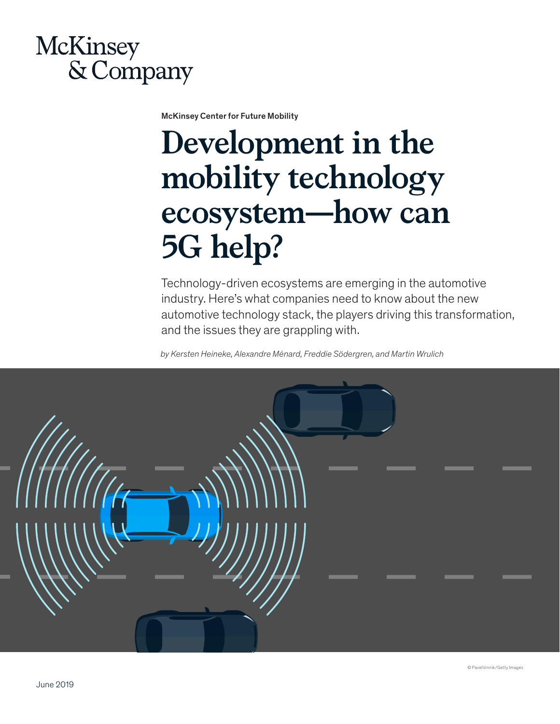

McKinsey Center for Future Mobility

# **Development in the mobility technology ecosystem—how can 5G help?**

Technology-driven ecosystems are emerging in the automotive industry. Here's what companies need to know about the new automotive technology stack, the players driving this transformation, and the issues they are grappling with.

*by Kersten Heineke, Alexandre Ménard, Freddie Södergren, and Martin Wrulich* 

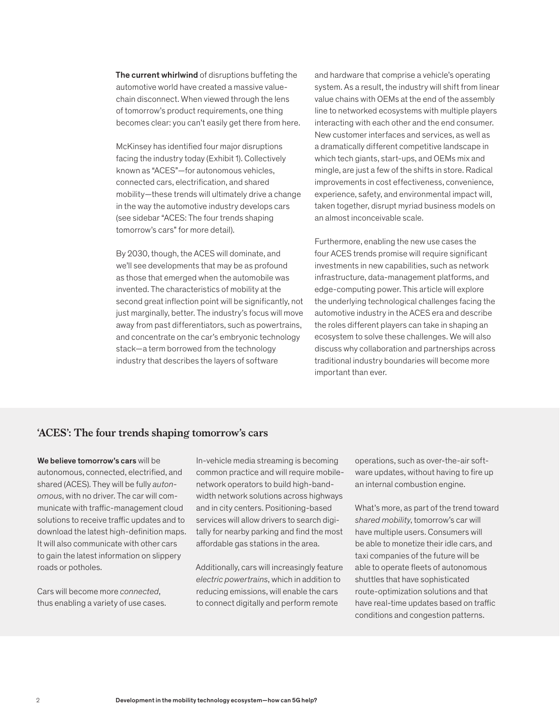The current whirlwind of disruptions buffeting the automotive world have created a massive valuechain disconnect. When viewed through the lens of tomorrow's product requirements, one thing becomes clear: you can't easily get there from here.

McKinsey has identified four major disruptions facing the industry today (Exhibit 1). Collectively known as "ACES"—for autonomous vehicles, connected cars, electrification, and shared mobility—these trends will ultimately drive a change in the way the automotive industry develops cars (see sidebar "ACES: The four trends shaping tomorrow's cars" for more detail).

By 2030, though, the ACES will dominate, and we'll see developments that may be as profound as those that emerged when the automobile was invented. The characteristics of mobility at the second great inflection point will be significantly, not just marginally, better. The industry's focus will move away from past differentiators, such as powertrains, and concentrate on the car's embryonic technology stack—a term borrowed from the technology industry that describes the layers of software

and hardware that comprise a vehicle's operating system. As a result, the industry will shift from linear value chains with OEMs at the end of the assembly line to networked ecosystems with multiple players interacting with each other and the end consumer. New customer interfaces and services, as well as a dramatically different competitive landscape in which tech giants, start-ups, and OEMs mix and mingle, are just a few of the shifts in store. Radical improvements in cost effectiveness, convenience, experience, safety, and environmental impact will, taken together, disrupt myriad business models on an almost inconceivable scale.

Furthermore, enabling the new use cases the four ACES trends promise will require significant investments in new capabilities, such as network infrastructure, data-management platforms, and edge-computing power. This article will explore the underlying technological challenges facing the automotive industry in the ACES era and describe the roles different players can take in shaping an ecosystem to solve these challenges. We will also discuss why collaboration and partnerships across traditional industry boundaries will become more important than ever.

## **'ACES': The four trends shaping tomorrow's cars**

We believe tomorrow's cars will be autonomous, connected, electrified, and shared (ACES). They will be fully *autonomous*, with no driver. The car will communicate with traffic-management cloud solutions to receive traffic updates and to download the latest high-definition maps. It will also communicate with other cars to gain the latest information on slippery roads or potholes.

Cars will become more *connected*, thus enabling a variety of use cases. In-vehicle media streaming is becoming common practice and will require mobilenetwork operators to build high-bandwidth network solutions across highways and in city centers. Positioning-based services will allow drivers to search digitally for nearby parking and find the most affordable gas stations in the area.

Additionally, cars will increasingly feature *electric powertrains*, which in addition to reducing emissions, will enable the cars to connect digitally and perform remote

operations, such as over-the-air software updates, without having to fire up an internal combustion engine.

What's more, as part of the trend toward *shared mobility*, tomorrow's car will have multiple users. Consumers will be able to monetize their idle cars, and taxi companies of the future will be able to operate fleets of autonomous shuttles that have sophisticated route-optimization solutions and that have real-time updates based on traffic conditions and congestion patterns.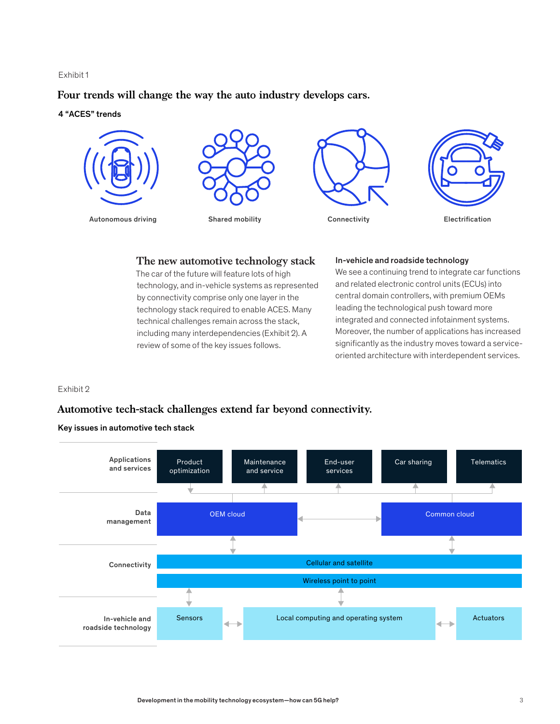## Exhibit 1

## **Four trends will change the way the auto industry develops cars.**

## 4 "ACES" trends



## **The new automotive technology stack**

The car of the future will feature lots of high technology, and in-vehicle systems as represented by connectivity comprise only one layer in the technology stack required to enable ACES. Many technical challenges remain across the stack, integrated an including many interdependencies (Exhibit 2). A review of some of the key issues follows.

#### In-vehicle and roadside technology

We see a continuing trend to integrate car functions and related electronic control units (ECUs) into central domain controllers, with premium OEMs leading the technological push toward more integrated and connected infotainment systems. Moreover, the number of applications has increased significantly as the industry moves toward a serviceoriented architecture with interdependent services.

## Exhibit 2

## **Automotive tech-stack challenges extend far beyond connectivity.**

## Key issues in automotive tech stack

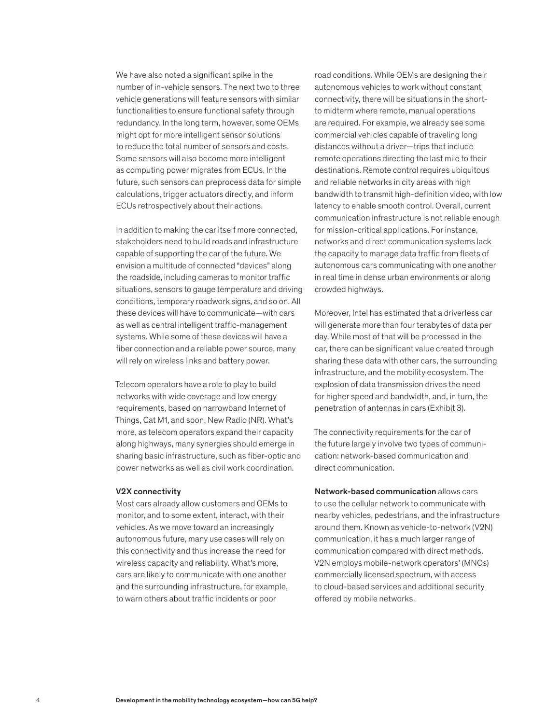We have also noted a significant spike in the number of in-vehicle sensors. The next two to three vehicle generations will feature sensors with similar functionalities to ensure functional safety through redundancy. In the long term, however, some OEMs might opt for more intelligent sensor solutions to reduce the total number of sensors and costs. Some sensors will also become more intelligent as computing power migrates from ECUs. In the future, such sensors can preprocess data for simple calculations, trigger actuators directly, and inform ECUs retrospectively about their actions.

In addition to making the car itself more connected, stakeholders need to build roads and infrastructure capable of supporting the car of the future. We envision a multitude of connected "devices" along the roadside, including cameras to monitor traffic situations, sensors to gauge temperature and driving conditions, temporary roadwork signs, and so on. All these devices will have to communicate—with cars as well as central intelligent traffic-management systems. While some of these devices will have a fiber connection and a reliable power source, many will rely on wireless links and battery power.

Telecom operators have a role to play to build networks with wide coverage and low energy requirements, based on narrowband Internet of Things, Cat M1, and soon, New Radio (NR). What's more, as telecom operators expand their capacity along highways, many synergies should emerge in sharing basic infrastructure, such as fiber-optic and power networks as well as civil work coordination.

#### V2X connectivity

Most cars already allow customers and OEMs to monitor, and to some extent, interact, with their vehicles. As we move toward an increasingly autonomous future, many use cases will rely on this connectivity and thus increase the need for wireless capacity and reliability. What's more, cars are likely to communicate with one another and the surrounding infrastructure, for example, to warn others about traffic incidents or poor

road conditions. While OEMs are designing their autonomous vehicles to work without constant connectivity, there will be situations in the shortto midterm where remote, manual operations are required. For example, we already see some commercial vehicles capable of traveling long distances without a driver—trips that include remote operations directing the last mile to their destinations. Remote control requires ubiquitous and reliable networks in city areas with high bandwidth to transmit high-definition video, with low latency to enable smooth control. Overall, current communication infrastructure is not reliable enough for mission-critical applications. For instance, networks and direct communication systems lack the capacity to manage data traffic from fleets of autonomous cars communicating with one another in real time in dense urban environments or along crowded highways.

Moreover, Intel has estimated that a driverless car will generate more than four terabytes of data per day. While most of that will be processed in the car, there can be significant value created through sharing these data with other cars, the surrounding infrastructure, and the mobility ecosystem. The explosion of data transmission drives the need for higher speed and bandwidth, and, in turn, the penetration of antennas in cars (Exhibit 3).

The connectivity requirements for the car of the future largely involve two types of communication: network-based communication and direct communication.

Network-based communication allows cars to use the cellular network to communicate with nearby vehicles, pedestrians, and the infrastructure around them. Known as vehicle-to-network (V2N) communication, it has a much larger range of communication compared with direct methods. V2N employs mobile-network operators' (MNOs) commercially licensed spectrum, with access to cloud-based services and additional security offered by mobile networks.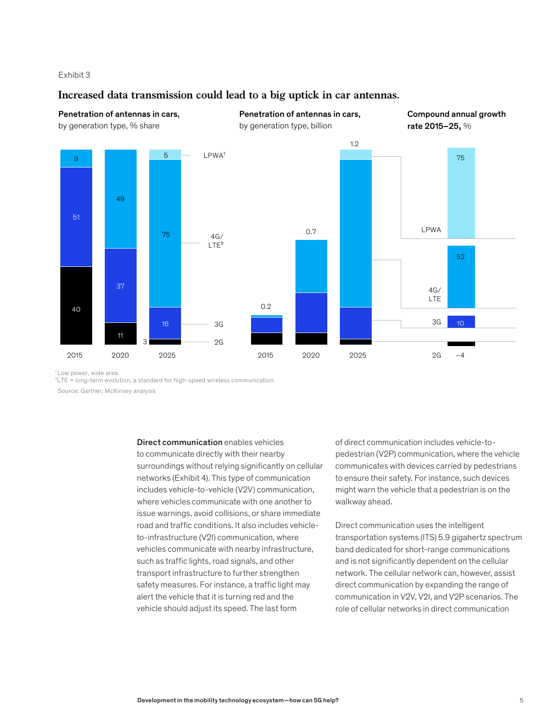## Exhibit 3

## **Increased data transmission could lead to a big uptick in car antennas.**



1 Low power, wide area.

 $2$ LTE = long-term evolution, a standard for high-speed wireless communication. Source: Gartner; McKinsey analysis

> Direct communication enables vehicles to communicate directly with their nearby surroundings without relying significantly on cellular networks (Exhibit 4). This type of communication includes vehicle-to-vehicle (V2V) communication, where vehicles communicate with one another to issue warnings, avoid collisions, or share immediate road and traffic conditions. It also includes vehicleto-infrastructure (V2I) communication, where vehicles communicate with nearby infrastructure, such as traffic lights, road signals, and other transport infrastructure to further strengthen safety measures. For instance, a traffic light may alert the vehicle that it is turning red and the vehicle should adjust its speed. The last form

of direct communication includes vehicle-topedestrian (V2P) communication, where the vehicle communicates with devices carried by pedestrians to ensure their safety. For instance, such devices might warn the vehicle that a pedestrian is on the walkway ahead.

Direct communication uses the intelligent transportation systems (ITS) 5.9 gigahertz spectrum band dedicated for short-range communications and is not significantly dependent on the cellular network. The cellular network can, however, assist direct communication by expanding the range of communication in V2V, V2I, and V2P scenarios. The role of cellular networks in direct communication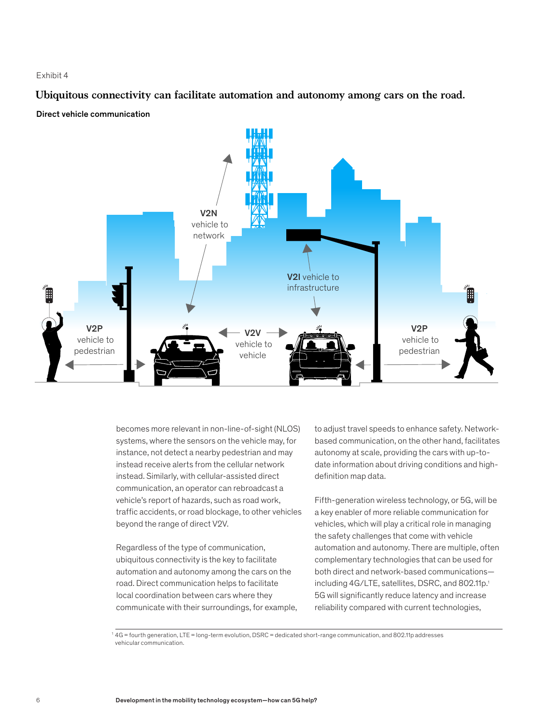## Exhibit 4

**Ubiquitous connectivity can facilitate automation and autonomy among cars on the road.**

Direct vehicle communication



becomes more relevant in non-line-of-sight (NLOS) systems, where the sensors on the vehicle may, for instance, not detect a nearby pedestrian and may instead receive alerts from the cellular network instead. Similarly, with cellular-assisted direct communication, an operator can rebroadcast a vehicle's report of hazards, such as road work, traffic accidents, or road blockage, to other vehicles beyond the range of direct V2V.

Regardless of the type of communication, ubiquitous connectivity is the key to facilitate automation and autonomy among the cars on the road. Direct communication helps to facilitate local coordination between cars where they communicate with their surroundings, for example, to adjust travel speeds to enhance safety. Networkbased communication, on the other hand, facilitates autonomy at scale, providing the cars with up-todate information about driving conditions and highdefinition map data.

Fifth-generation wireless technology, or 5G, will be a key enabler of more reliable communication for vehicles, which will play a critical role in managing the safety challenges that come with vehicle automation and autonomy. There are multiple, often complementary technologies that can be used for both direct and network-based communications including 4G/LTE, satellites, DSRC, and 802.11p.<sup>1</sup> 5G will significantly reduce latency and increase reliability compared with current technologies,

<sup>1</sup> 4G = fourth generation, LTE = long-term evolution, DSRC = dedicated short-range communication, and 802.11p addresses vehicular communication.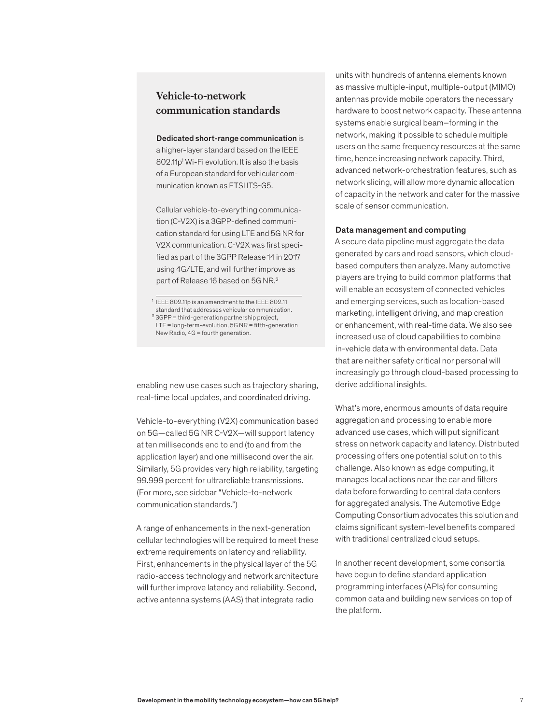## **Vehicle-to-network communication standards**

Dedicated short-range communication is a higher-layer standard based on the IEEE

802.11p<sup>1</sup> Wi-Fi evolution. It is also the basis of a European standard for vehicular communication known as ETSI ITS-G5.

Cellular vehicle-to-everything communication (C-V2X) is a 3GPP-defined communication standard for using LTE and 5G NR for V2X communication. C-V2X was first specified as part of the 3GPP Release 14 in 2017 using 4G/LTE, and will further improve as part of Release 16 based on 5G NR.<sup>2</sup>

enabling new use cases such as trajectory sharing, real-time local updates, and coordinated driving.

Vehicle-to-everything (V2X) communication based on 5G—called 5G NR C-V2X—will support latency at ten milliseconds end to end (to and from the application layer) and one millisecond over the air. Similarly, 5G provides very high reliability, targeting 99.999 percent for ultrareliable transmissions. (For more, see sidebar "Vehicle-to-network communication standards.")

A range of enhancements in the next-generation cellular technologies will be required to meet these extreme requirements on latency and reliability. First, enhancements in the physical layer of the 5G radio-access technology and network architecture will further improve latency and reliability. Second, active antenna systems (AAS) that integrate radio

units with hundreds of antenna elements known as massive multiple-input, multiple-output (MIMO) antennas provide mobile operators the necessary hardware to boost network capacity. These antenna systems enable surgical beam–forming in the network, making it possible to schedule multiple users on the same frequency resources at the same time, hence increasing network capacity. Third, advanced network-orchestration features, such as network slicing, will allow more dynamic allocation of capacity in the network and cater for the massive scale of sensor communication.

## Data management and computing

A secure data pipeline must aggregate the data generated by cars and road sensors, which cloudbased computers then analyze. Many automotive players are trying to build common platforms that will enable an ecosystem of connected vehicles and emerging services, such as location-based marketing, intelligent driving, and map creation or enhancement, with real-time data. We also see increased use of cloud capabilities to combine in-vehicle data with environmental data. Data that are neither safety critical nor personal will increasingly go through cloud-based processing to derive additional insights.

What's more, enormous amounts of data require aggregation and processing to enable more advanced use cases, which will put significant stress on network capacity and latency. Distributed processing offers one potential solution to this challenge. Also known as edge computing, it manages local actions near the car and filters data before forwarding to central data centers for aggregated analysis. The Automotive Edge Computing Consortium advocates this solution and claims significant system-level benefits compared with traditional centralized cloud setups.

In another recent development, some consortia have begun to define standard application programming interfaces (APIs) for consuming common data and building new services on top of the platform.

<sup>1</sup> IEEE 802.11p is an amendment to the IEEE 802.11 standard that addresses vehicular communication.

 $23GPP = third-generation$  partnership project,

LTE = long-term-evolution, 5G NR = fifth-generation New Radio, 4G = fourth generation.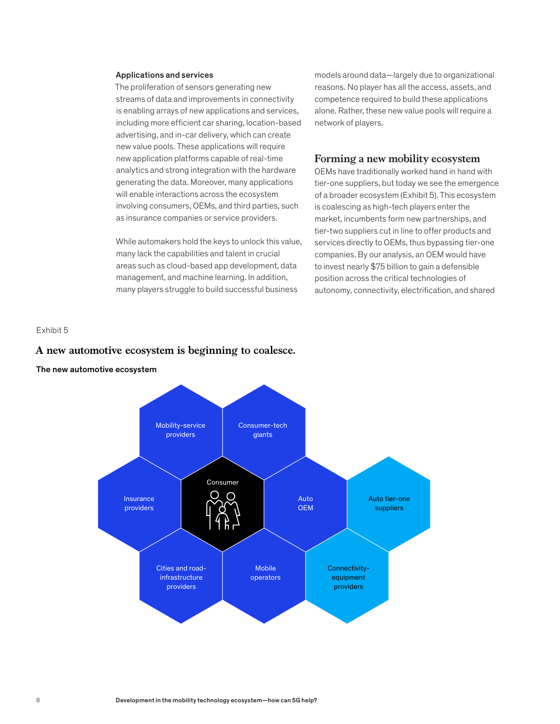#### Applications and services

The proliferation of sensors generating new streams of data and improvements in connectivity is enabling arrays of new applications and services, including more efficient car sharing, location-based advertising, and in-car delivery, which can create new value pools. These applications will require new application platforms capable of real-time analytics and strong integration with the hardware generating the data. Moreover, many applications will enable interactions across the ecosystem involving consumers, OEMs, and third parties, such as insurance companies or service providers.

While automakers hold the keys to unlock this value, many lack the capabilities and talent in crucial areas such as cloud-based app development, data binvest near management, and machine learning. In addition, many players struggle to build successful business

models around data—largely due to organizational reasons. No player has all the access, assets, and competence required to build these applications alone. Rather, these new value pools will require a network of players.

## **Forming a new mobility ecosystem**

OEMs have traditionally worked hand in hand with tier-one suppliers, but today we see the emergence of a broader ecosystem (Exhibit 5). This ecosystem is coalescing as high-tech players enter the market, incumbents form new partnerships, and tier-two suppliers cut in line to offer products and services directly to OEMs, thus bypassing tier-one companies. By our analysis, an OEM would have to invest nearly \$75 billion to gain a defensible position across the critical technologies of autonomy, connectivity, electrification, and shared

#### Exhibit 5

## **A new automotive ecosystem is beginning to coalesce.**

The new automotive ecosystem

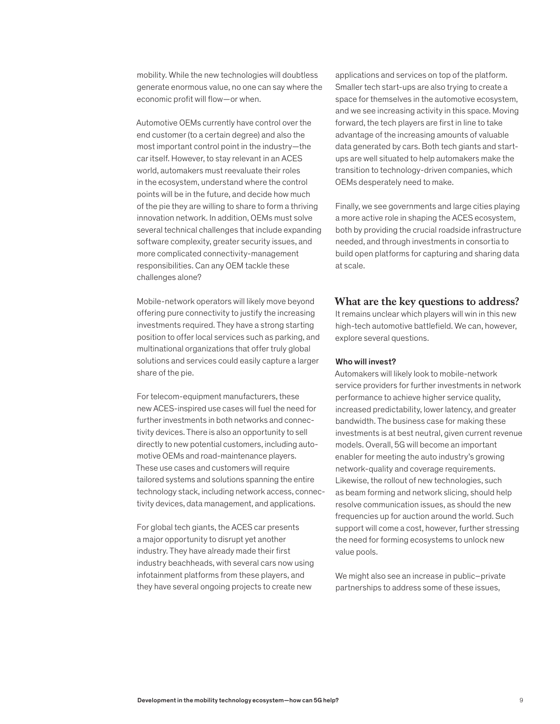mobility. While the new technologies will doubtless generate enormous value, no one can say where the economic profit will flow—or when.

Automotive OEMs currently have control over the end customer (to a certain degree) and also the most important control point in the industry—the car itself. However, to stay relevant in an ACES world, automakers must reevaluate their roles in the ecosystem, understand where the control points will be in the future, and decide how much of the pie they are willing to share to form a thriving innovation network. In addition, OEMs must solve several technical challenges that include expanding software complexity, greater security issues, and more complicated connectivity-management responsibilities. Can any OEM tackle these challenges alone?

Mobile-network operators will likely move beyond offering pure connectivity to justify the increasing investments required. They have a strong starting position to offer local services such as parking, and multinational organizations that offer truly global solutions and services could easily capture a larger share of the pie.

For telecom-equipment manufacturers, these new ACES-inspired use cases will fuel the need for further investments in both networks and connectivity devices. There is also an opportunity to sell directly to new potential customers, including automotive OEMs and road-maintenance players. These use cases and customers will require tailored systems and solutions spanning the entire technology stack, including network access, connectivity devices, data management, and applications.

For global tech giants, the ACES car presents a major opportunity to disrupt yet another industry. They have already made their first industry beachheads, with several cars now using infotainment platforms from these players, and they have several ongoing projects to create new

applications and services on top of the platform. Smaller tech start-ups are also trying to create a space for themselves in the automotive ecosystem, and we see increasing activity in this space. Moving forward, the tech players are first in line to take advantage of the increasing amounts of valuable data generated by cars. Both tech giants and startups are well situated to help automakers make the transition to technology-driven companies, which OEMs desperately need to make.

Finally, we see governments and large cities playing a more active role in shaping the ACES ecosystem, both by providing the crucial roadside infrastructure needed, and through investments in consortia to build open platforms for capturing and sharing data at scale.

## **What are the key questions to address?**

It remains unclear which players will win in this new high-tech automotive battlefield. We can, however, explore several questions.

## Who will invest?

Automakers will likely look to mobile-network service providers for further investments in network performance to achieve higher service quality, increased predictability, lower latency, and greater bandwidth. The business case for making these investments is at best neutral, given current revenue models. Overall, 5G will become an important enabler for meeting the auto industry's growing network-quality and coverage requirements. Likewise, the rollout of new technologies, such as beam forming and network slicing, should help resolve communication issues, as should the new frequencies up for auction around the world. Such support will come a cost, however, further stressing the need for forming ecosystems to unlock new value pools.

We might also see an increase in public–private partnerships to address some of these issues,